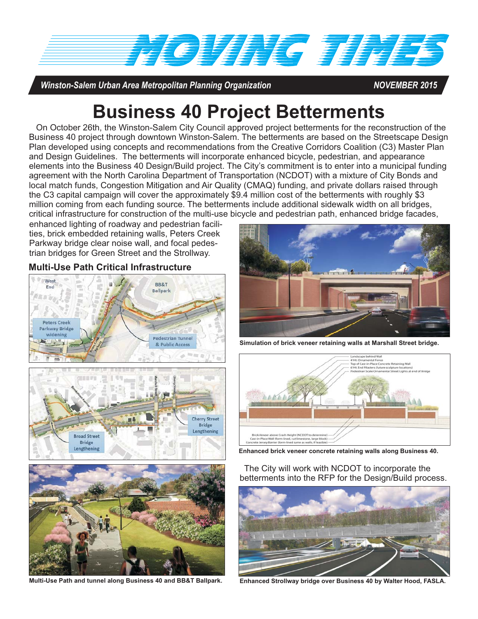

*Winston-Salem Urban Area Metropolitan Planning Organization NOVEMBER 2015*

# **Business 40 Project Betterments**

On October 26th, the Winston-Salem City Council approved project betterments for the reconstruction of the Business 40 project through downtown Winston-Salem. The betterments are based on the Streetscape Design Plan developed using concepts and recommendations from the Creative Corridors Coalition (C3) Master Plan and Design Guidelines. The betterments will incorporate enhanced bicycle, pedestrian, and appearance elements into the Business 40 Design/Build project. The City's commitment is to enter into a municipal funding agreement with the North Carolina Department of Transportation (NCDOT) with a mixture of City Bonds and local match funds, Congestion Mitigation and Air Quality (CMAQ) funding, and private dollars raised through the C3 capital campaign will cover the approximately \$9.4 million cost of the betterments with roughly \$3 million coming from each funding source. The betterments include additional sidewalk width on all bridges, critical infrastructure for construction of the multi-use bicycle and pedestrian path, enhanced bridge facades,

enhanced lighting of roadway and pedestrian facilities, brick embedded retaining walls, Peters Creek Parkway bridge clear noise wall, and focal pedestrian bridges for Green Street and the Strollway.

#### **Multi-Use Path Critical Infrastructure**







**Simulation of brick veneer retaining walls at Marshall Street bridge.**



**Enhanced brick veneer concrete retaining walls along Business 40.**



**Multi-Use Path and tunnel along Business 40 and BB&T Ballpark.**

The City will work with NCDOT to incorporate the betterments into the RFP for the Design/Build process.



**Enhanced Strollway bridge over Business 40 by Walter Hood, FASLA.**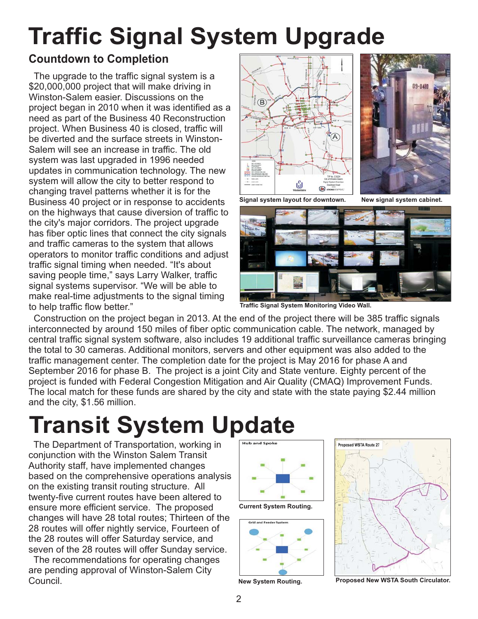# **Traffic Signal System Upgrade**

### **Countdown to Completion**

The upgrade to the traffic signal system is a \$20,000,000 project that will make driving in Winston-Salem easier. Discussions on the project began in 2010 when it was identified as a need as part of the Business 40 Reconstruction project. When Business 40 is closed, traffic will be diverted and the surface streets in Winston-Salem will see an increase in traffic. The old system was last upgraded in 1996 needed updates in communication technology. The new system will allow the city to better respond to changing travel patterns whether it is for the Business 40 project or in response to accidents on the highways that cause diversion of traffic to the city's major corridors. The project upgrade has fiber optic lines that connect the city signals and traffic cameras to the system that allows operators to monitor traffic conditions and adjust traffic signal timing when needed. "It's about saving people time," says Larry Walker, traffic signal systems supervisor. "We will be able to make real-time adjustments to the signal timing to help traffic flow better."





**Signal system layout for downtown. New signal system cabinet.**



**Traffic Signal System Monitoring Video Wall.**

Construction on the project began in 2013. At the end of the project there will be 385 traffic signals interconnected by around 150 miles of fiber optic communication cable. The network, managed by central traffic signal system software, also includes 19 additional traffic surveillance cameras bringing the total to 30 cameras. Additional monitors, servers and other equipment was also added to the traffic management center. The completion date for the project is May 2016 for phase A and September 2016 for phase B. The project is a joint City and State venture. Eighty percent of the project is funded with Federal Congestion Mitigation and Air Quality (CMAQ) Improvement Funds. The local match for these funds are shared by the city and state with the state paying \$2.44 million and the city, \$1.56 million.

# **Transit System Update**

The Department of Transportation, working in conjunction with the Winston Salem Transit Authority staff, have implemented changes based on the comprehensive operations analysis on the existing transit routing structure. All twenty-five current routes have been altered to ensure more efficient service. The proposed changes will have 28 total routes; Thirteen of the 28 routes will offer nightly service, Fourteen of the 28 routes will offer Saturday service, and seven of the 28 routes will offer Sunday service.

The recommendations for operating changes are pending approval of Winston-Salem City Council. **New System Routing. Proposed New WSTA South Circulator.**



**Current System Routing.**



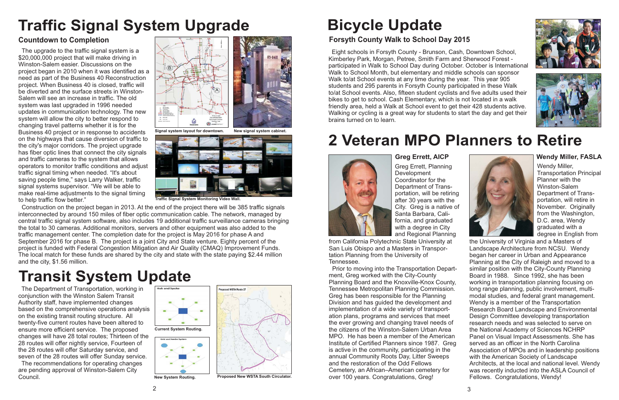# **Bicycle Update**

## **Forsyth County Walk to School Day 2015**

Eight schools in Forsyth County - Brunson, Cash, Downtown School, Kimberley Park, Morgan, Petree, Smith Farm and Sherwood Forest participated in Walk to School Day during October. October is International Walk to School Month, but e lementary and middle schools can sponsor Walk to/at School events at any time during the year. This year 905 students and 295 parents in Forsyth County participated in these Walk to/at School events. Also, fifteen student cyclists and five adults used their bikes to get to school. Cash Elementary, which is not located in a walk friendly area, held a Walk at School event to get their 428 students active. Walking or cycling is a great way for students to start the day and get their brains turned on to learn.





# **2 Veteran MPO Planners to Retire**



### **Greg Errett, AICP**

Greg Errett, Planning **Development** Coordinator for theDepartment of Transportation, will be retiring after 30 years with the City. Greg is a native of Santa Barbara, California, and graduated with a degree in City and Regional Planning

from California Polytechnic State University at San Luis Obispo and a Masters in Transportation Planning from the University of Tennessee.

Prior to moving into the Transportation Department, Greg worked with the City-County Planning Board and the Knoxville-Knox County, Tennessee Metropolitan Planning Commission. Greg has been responsible for the Planning Division and has guided the development and implementation of a wide variety of transportation plans, programs and services that meet the ever growing and changing travel needs of the citizens of the Winston-Salem Urban AreaMPO. He has been a member of the AmericanInstitute of Certified Planners since 1987. Greg is active in the community, participating in the annual Community Roots Day, Litter Sweeps and the restoration of the Odd FellowsCemetery, an African–American cemetery for over 100 years. Congratulations, Greg!



#### **Wendy Miller, FASLA**

Wendy Miller, Transportation Principal Planner with theWinston-SalemDepartment of Transportation, will retire in November. Originally from the Washington, D.C. area, Wendy graduated with a degree in English from

the University of Virginia and a Masters of Landscape Architecture from NCSU. Wendy began her career in Urban and Appearance Planning at the City of Raleigh and moved to a similar position with the City-County Planning Board in 1988. Since 1992, she has been working in transportation planning focusing on long range planning, public involvement, multimodal studies, and federal grant management. Wendy is a member of the Transportation Research Board Landscape and Environmental Design Committee developing transportation research needs and was selected to serve on the National Academy of Sciences NCHRP Panel on Visual Impact Assessments. She has served as an officer in the North CarolinaAssociation of MPOs and in leadership positions with the American Society of Landscape Architects, at the local and national level. Wendy was recently inducted into the ASLA Council of Fellows. Congratulations, Wendy!